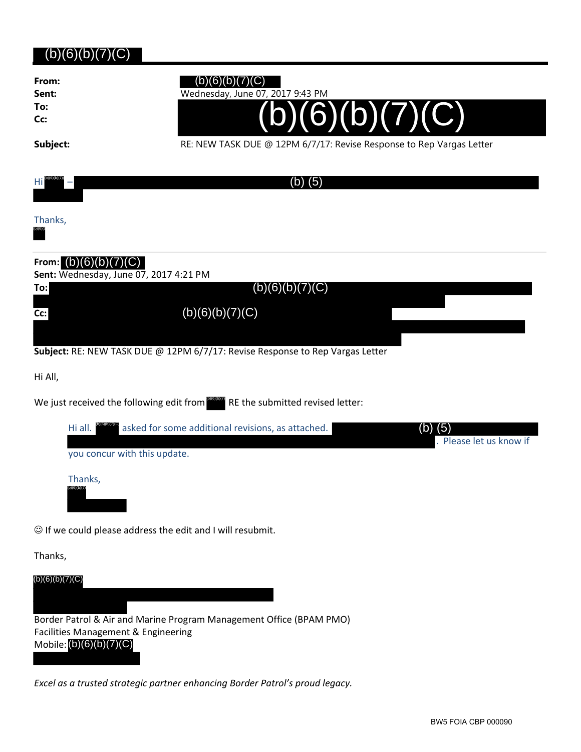# (b)(6)(b)(7)(C)

| From: |  |
|-------|--|
| Sent: |  |
| To:   |  |

**Cc:**

## $(b)(6)(b)(7)(C)$

**Sent:** Wednesday, June 07, 2017 9:43 PM



Subject: RE: NEW TASK DUE @ 12PM 6/7/17: Revise Response to Rep Vargas Letter

 $(b)(6)(b)(7)(C)$ 



# **From:** (b)(6)(b)(7)(C)

**Sent:** Wednesday, June 07, 2017 4:21 PM

**To:**

 $(b)(6)(b)(7)(C)$ 

**Cc:**

**Subject:** RE: NEW TASK DUE @ 12PM 6/7/17: Revise Response to Rep Vargas Letter

(b)(6)(b)(7)(C)

Hi All,

We just received the following edit from  $\overline{\text{R}}$  RE the submitted revised letter:



 $\odot$  If we could please address the edit and I will resubmit.

Thanks,



*Excel as a trusted strategic partner enhancing Border Patrol's proud legacy.*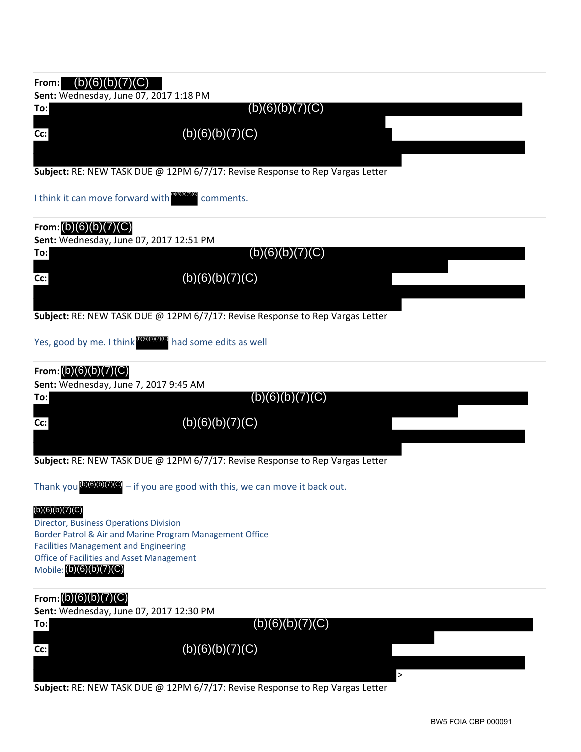# **From:** (b)(6)(b)(7)(C) **Sent:** Wednesday, June 07, 2017 1:18 PM **To: Cc: Subject:** RE: NEW TASK DUE @ 12PM 6/7/17: Revise Response to Rep Vargas Letter I think it can move forward with **Books** comments. **From:** (b)(6)(b)(7)(C) **Sent:** Wednesday, June 07, 2017 12:51 PM **To: Cc: Subject:** RE: NEW TASK DUE @ 12PM 6/7/17: Revise Response to Rep Vargas Letter Yes, good by me. I think <sup>b)(6)(6)(7)(C)</sup> had some edits as well **From:** (b)(6)(b)(7)(C) **Sent:** Wednesday, June 7, 2017 9:45 AM **To: Cc: Subject:** RE: NEW TASK DUE @ 12PM 6/7/17: Revise Response to Rep Vargas Letter Thank you  $^{(b)(6)(b)(7)(C)}$  – if you are good with this, we can move it back out. Director, Business Operations Division Border Patrol & Air and Marine Program Management Office Facilities Management and Engineering Office of Facilities and Asset Management Mobile: (b)(6)(b)(7)(C) **From:** (b)(6)(b)(7)(C) **Sent:** Wednesday, June 07, 2017 12:30 PM **To: Cc:** >  $(b)(6)(b)(7)(C)$ (b)(6)(b)(7)(C) (b)(6)(b)(7)(C)  $(b)(6)(b)(7)(C)$ (b)(6)(b)(7)(C)  $(b)(6)(b)(7)(C)$  $(b)(6)(b)(7)(C)$  $(b)(6)(b)(7)(C)$  $(b)(6)(b)(7)(C)$ (b)(6)(b)(7)(C)

**Subject:** RE: NEW TASK DUE @ 12PM 6/7/17: Revise Response to Rep Vargas Letter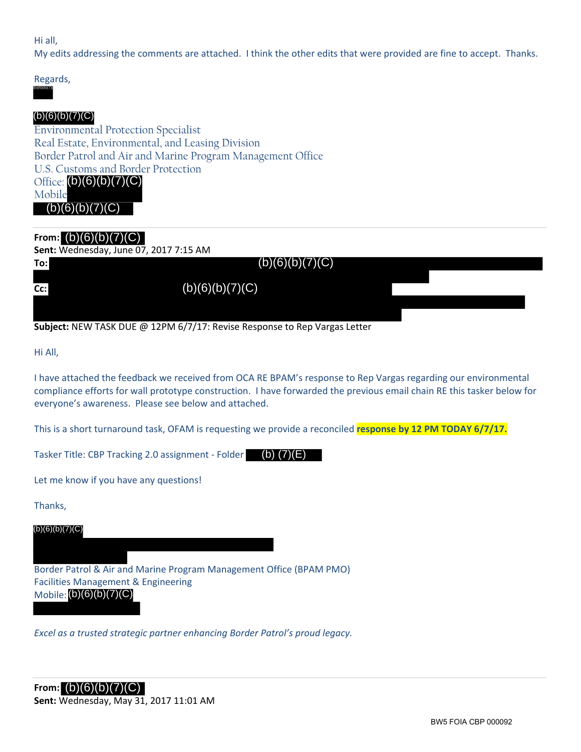#### Hi all,

My edits addressing the comments are attached. I think the other edits that were provided are fine to accept. Thanks.



### $(b)(6)(b)(7)(C)$

Environmental Protection Specialist Real Estate, Environmental, and Leasing Division Border Patrol and Air and Marine Program Management Office U.S. Customs and Border Protection Office: (b)(6)(b)(7)(C) Mobile

 $(b)(6)(b)(7)(C)$ 

## **From:** (b)(6)(b)(7)(C)

#### **Sent:** Wednesday, June 07, 2017 7:15 AM

| To:    | (b)(6)(b)(7)(C) |  |
|--------|-----------------|--|
| $Cc$ : | (b)(6)(b)(7)(C) |  |
|        |                 |  |

#### **Subject:** NEW TASK DUE @ 12PM 6/7/17: Revise Response to Rep Vargas Letter

Hi All,

I have attached the feedback we received from OCA RE BPAM's response to Rep Vargas regarding our environmental compliance efforts for wall prototype construction. I have forwarded the previous email chain RE this tasker below for everyone's awareness. Please see below and attached.

This is a short turnaround task, OFAM is requesting we provide a reconciled **response by 12 PM TODAY 6/7/17.**

Tasker Title: CBP Tracking 2.0 assignment - Folder (b) (7)(E)

Let me know if you have any questions!

Thanks,

 $(b)(6)(b)(7)(C)$ 

Border Patrol & Air and Marine Program Management Office (BPAM PMO) Facilities Management & Engineering Mobile: (b)(6)(b)(7)(C) Title: CBP Tracking 2.0 assignment - Folder<br>
know if you have any questions!<br>
,<br>
,<br>
7)(0)<br>
Patrol & Air and Marine Program Management Office (BF<br>
s Management & Engineering<br>
(b)(6)(b)(7)(C)<br>
S a trusted strategic partner e

*Excel as a trusted strategic partner enhancing Border Patrol's proud legacy.*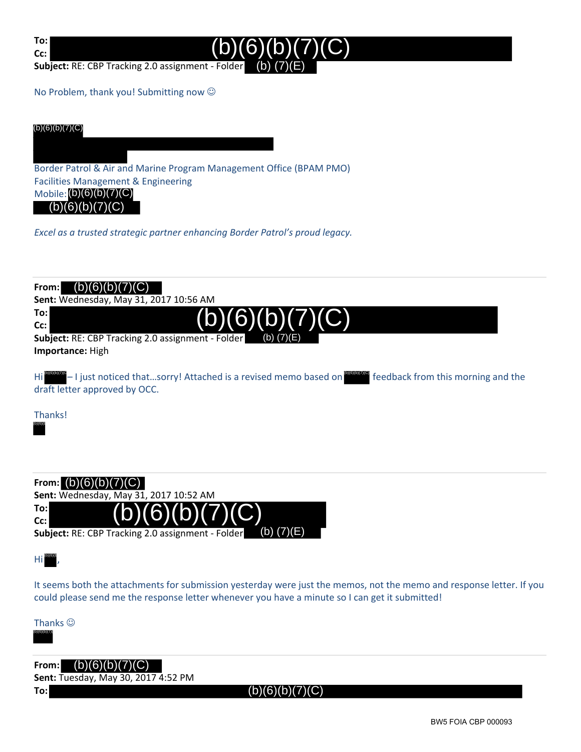**To: Cc:**



**Subject:** RE: CBP Tracking 2.0 assignment ‐ Folder

No Problem, thank you! Submitting now  $\odot$ 

(b)(6)(b)(7)(C)

Border Patrol & Air and Marine Program Management Office (BPAM PMO) Facilities Management & Engineering Mobile: (b)(6)(b)(7)(C)  $(b)(6)(b)(7)(C)$ 

*Excel as a trusted strategic partner enhancing Border Patrol's proud legacy.*



(b) (7)(E) **Subject:** RE: CBP Tracking 2.0 assignment ‐ Folder

 $\mathsf{Hi}^{(6)(6)}$  ,

**Cc:**

It seems both the attachments for submission yesterday were just the memos, not the memo and response letter. If you could please send me the response letter whenever you have a minute so I can get it submitted!

Thanks  $\odot$ 

(b)(6)(b)(7)(

**From:** (b)(6)(b)(7)(C)

**Sent:** Tuesday, May 30, 2017 4:52 PM

**To:**

 $(b)(6)(b)(7)(C)$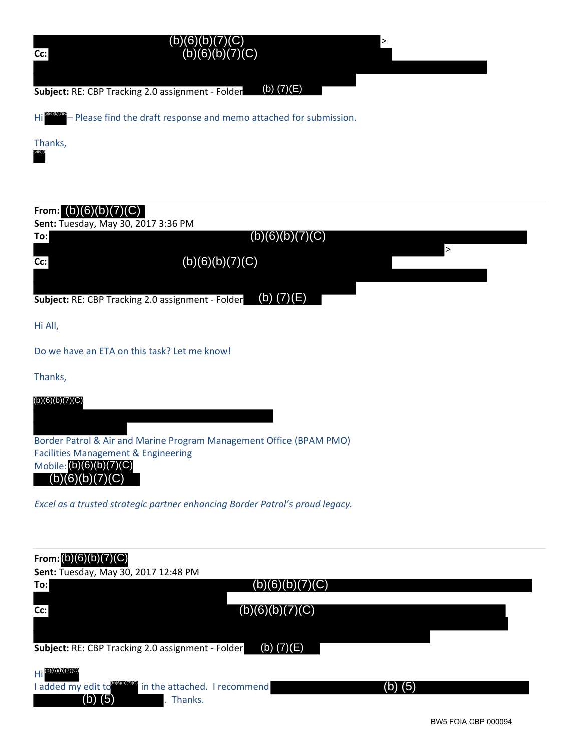| $Cc$ :              | (b)(6)(b)(7)(C)<br>(b)(6)(b)(7)(C)                                                        |  |
|---------------------|-------------------------------------------------------------------------------------------|--|
|                     | (b) $(7)(E)$<br>Subject: RE: CBP Tracking 2.0 assignment - Folder                         |  |
|                     | $Hi$ <b>Nightships</b> – Please find the draft response and memo attached for submission. |  |
| Thanks,<br>(b)(6)(b |                                                                                           |  |

| (b) (5)                                                                                      | I added my edit to <b>DIGITATE</b> in the attached. I recommend<br>Thanks.                                                                                   | $(b)$ (5) |
|----------------------------------------------------------------------------------------------|--------------------------------------------------------------------------------------------------------------------------------------------------------------|-----------|
| $Hi^{(b)(6)(b)(7)(C)}$                                                                       | (b) $(7)(E)$<br>Subject: RE: CBP Tracking 2.0 assignment - Folder                                                                                            |           |
|                                                                                              | (b)(6)(b)(7)(C)                                                                                                                                              |           |
| Cc:                                                                                          |                                                                                                                                                              |           |
| From: (b)(6)(b)(7)(C)<br>Sent: Tuesday, May 30, 2017 12:48 PM<br>To:                         | (b)(6)(b)(7)(C)                                                                                                                                              |           |
|                                                                                              | Excel as a trusted strategic partner enhancing Border Patrol's proud legacy.                                                                                 |           |
| <b>Facilities Management &amp; Engineering</b><br>Mobile: (b)(6)(b)(7)(C)<br>(b)(6)(b)(7)(C) | Border Patrol & Air and Marine Program Management Office (BPAM PMO)                                                                                          |           |
| (b)(6)(b)(7)(C)                                                                              |                                                                                                                                                              |           |
| Thanks,                                                                                      |                                                                                                                                                              |           |
|                                                                                              | Do we have an ETA on this task? Let me know!                                                                                                                 |           |
| Hi All,                                                                                      |                                                                                                                                                              |           |
|                                                                                              |                                                                                                                                                              |           |
|                                                                                              | (b) $(7)(E)$<br>Subject: RE: CBP Tracking 2.0 assignment - Folder                                                                                            |           |
| cc:                                                                                          | (b)(6)(b)(7)(C)                                                                                                                                              | $\geq$    |
| From: $(b)(6)(b)(7)(C)$<br>Sent: Tuesday, May 30, 2017 3:36 PM<br>To:                        | (b)(6)(b)(7)(C)                                                                                                                                              |           |
| Thanks,                                                                                      |                                                                                                                                                              |           |
|                                                                                              |                                                                                                                                                              |           |
|                                                                                              | (b) $(7)(E)$<br>Subject: RE: CBP Tracking 2.0 assignment - Folder<br>Hi <sup>proper</sup> – Please find the draft response and memo attached for submission. |           |
|                                                                                              |                                                                                                                                                              |           |

| From: $(b)(6)(b)(7)(C)$<br>Sent: Tuesday, May 30, 2017 12:48 PM |                 |         |  |
|-----------------------------------------------------------------|-----------------|---------|--|
| To:                                                             | (b)(6)(b)(7)(C) |         |  |
|                                                                 |                 |         |  |
| $Cc$ :                                                          | (b)(6)(b)(7)(C) |         |  |
|                                                                 |                 |         |  |
| Subject: RE: CBP Tracking 2.0 assignment - Folder               | (b) $(7)(E)$    |         |  |
| $Hi^{(b)(6)(b)(7)(C)}$                                          |                 |         |  |
| I added my edit to <b>proteion</b> in the attached. I recommend |                 | (b) (5) |  |
| $(b)$ (5)<br>Thanks.                                            |                 |         |  |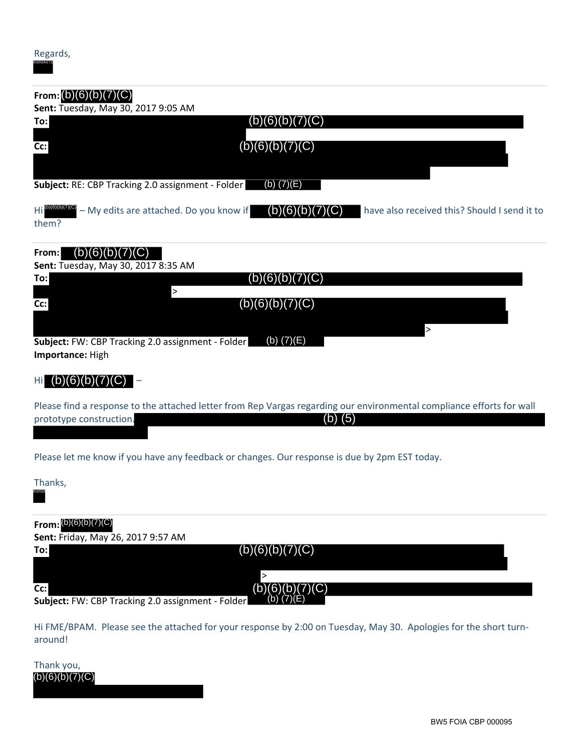(b)(6)(b)(7)(

| From: $(b)(6)(b)(7)(C)$                                                                                                                                     |
|-------------------------------------------------------------------------------------------------------------------------------------------------------------|
| Sent: Tuesday, May 30, 2017 9:05 AM<br>(b)(6)(b)(7)(C)<br>To:                                                                                               |
| (b)(6)(b)(7)(C)<br>Cc:                                                                                                                                      |
|                                                                                                                                                             |
| (b) $(7)(E)$<br>Subject: RE: CBP Tracking 2.0 assignment - Folder                                                                                           |
| $Hi^{(b)(b)(b)(b)(c)(c)} - My$ edits are attached. Do you know if<br>(b)(6)(b)(c)<br>have also received this? Should I send it to<br>them?                  |
| (b)(6)(b)(7)(C)<br>From:<br>Sent: Tuesday, May 30, 2017 8:35 AM                                                                                             |
| (b)(6)(b)(7)(C)<br>To:                                                                                                                                      |
| $\geq$<br>(b)(6)(b)(7)(C)<br>Cc:                                                                                                                            |
| $\mathbf{L}$<br>(b) $(7)(E)$<br>Subject: FW: CBP Tracking 2.0 assignment - Folder<br>Importance: High                                                       |
| (b)(6)(b)(7)(                                                                                                                                               |
| Please find a response to the attached letter from Rep Vargas regarding our environmental compliance efforts for wall<br>prototype construction.<br>(b) (5) |
| Please let me know if you have any feedback or changes. Our response is due by 2pm EST today.                                                               |
| Thanks,                                                                                                                                                     |
| From: (b)(6)(b)(7)(C)<br>Sent: Friday, May 26, 2017 9:57 AM                                                                                                 |
| (b)(6)(b)(7)(C)<br>To:                                                                                                                                      |
| >                                                                                                                                                           |
| (b)(6)(b)(7)(C)<br>Cc:<br>Subject: FW: CBP Tracking 2.0 assignment - Folder                                                                                 |
| Hi FME/BPAM. Please see the attached for your response by 2:00 on Tuesday, May 30. Apologies for the short turn-<br>around!                                 |
| Thank you,<br>(b)(6)(b)(7)(C)                                                                                                                               |

Thank you,<br>(b) $(6)(b)(7)(C)$